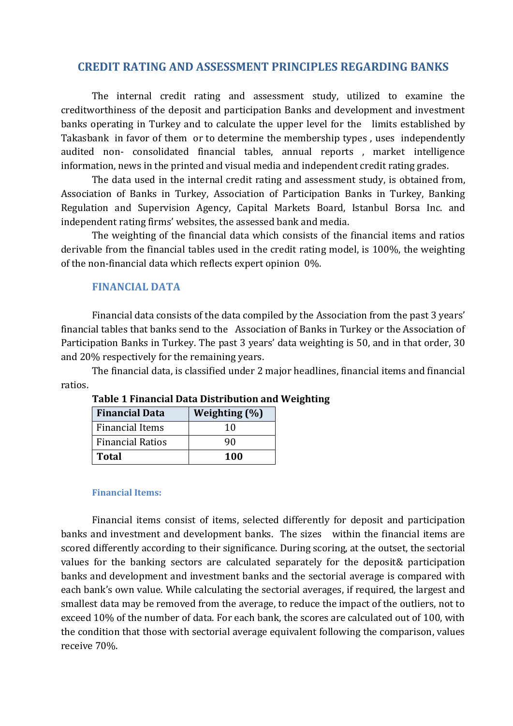# **CREDIT RATING AND ASSESSMENT PRINCIPLES REGARDING BANKS**

The internal credit rating and assessment study, utilized to examine the creditworthiness of the deposit and participation Banks and development and investment banks operating in Turkey and to calculate the upper level for the limits established by Takasbank in favor of them or to determine the membership types , uses independently audited non- consolidated financial tables, annual reports , market intelligence information, news in the printed and visual media and independent credit rating grades.

The data used in the internal credit rating and assessment study, is obtained from, Association of Banks in Turkey, Association of Participation Banks in Turkey, Banking Regulation and Supervision Agency, Capital Markets Board, Istanbul Borsa Inc. and independent rating firms' websites, the assessed bank and media.

The weighting of the financial data which consists of the financial items and ratios derivable from the financial tables used in the credit rating model, is 100%, the weighting of the non-financial data which reflects expert opinion 0%.

# **FINANCIAL DATA**

Financial data consists of the data compiled by the Association from the past 3 years' financial tables that banks send to the Association of Banks in Turkey or the Association of Participation Banks in Turkey. The past 3 years' data weighting is 50, and in that order, 30 and 20% respectively for the remaining years.

The financial data, is classified under 2 major headlines, financial items and financial ratios.

| <b>Financial Data</b>   | Weighting (%) |
|-------------------------|---------------|
| <b>Financial Items</b>  | 10            |
| <b>Financial Ratios</b> | 90            |
| <b>Total</b>            | 100           |

# **Table 1 Financial Data Distribution and Weighting**

#### **Financial Items:**

Financial items consist of items, selected differently for deposit and participation banks and investment and development banks. The sizes within the financial items are scored differently according to their significance. During scoring, at the outset, the sectorial values for the banking sectors are calculated separately for the deposit& participation banks and development and investment banks and the sectorial average is compared with each bank's own value. While calculating the sectorial averages, if required, the largest and smallest data may be removed from the average, to reduce the impact of the outliers, not to exceed 10% of the number of data. For each bank, the scores are calculated out of 100, with the condition that those with sectorial average equivalent following the comparison, values receive 70%.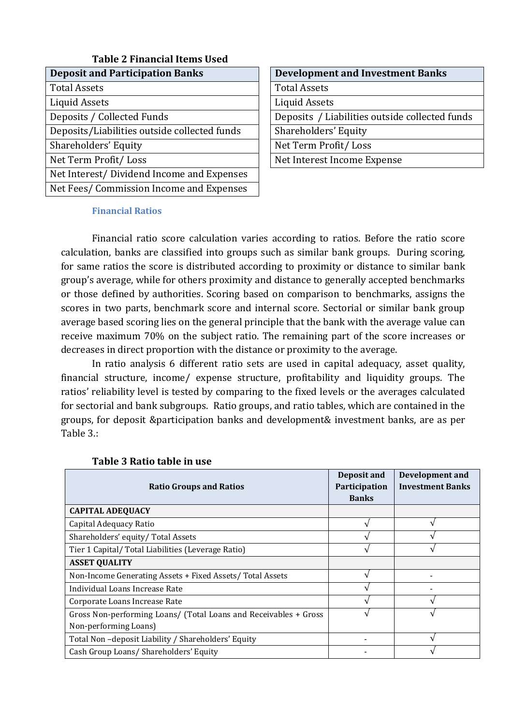| <b>Table 2 Financial Items Used</b>          |                                                |
|----------------------------------------------|------------------------------------------------|
| <b>Deposit and Participation Banks</b>       | <b>Development and Investment Banks</b>        |
| <b>Total Assets</b>                          | <b>Total Assets</b>                            |
| Liquid Assets                                | Liquid Assets                                  |
| Deposits / Collected Funds                   | Deposits / Liabilities outside collected funds |
| Deposits/Liabilities outside collected funds | Shareholders' Equity                           |
| Shareholders' Equity                         | Net Term Profit/Loss                           |
| Net Term Profit/Loss                         | Net Interest Income Expense                    |
| Net Interest/Dividend Income and Expenses    |                                                |
| Net Fees/ Commission Income and Expenses     |                                                |

| <b>Development and Investment Banks</b>        |
|------------------------------------------------|
| <b>Total Assets</b>                            |
| Liquid Assets                                  |
| Deposits / Liabilities outside collected funds |
| Shareholders' Equity                           |
| Net Term Profit/Loss                           |
| Net Interest Income Expense                    |

### **Financial Ratios**

Financial ratio score calculation varies according to ratios. Before the ratio score calculation, banks are classified into groups such as similar bank groups. During scoring, for same ratios the score is distributed according to proximity or distance to similar bank group's average, while for others proximity and distance to generally accepted benchmarks or those defined by authorities. Scoring based on comparison to benchmarks, assigns the scores in two parts, benchmark score and internal score. Sectorial or similar bank group average based scoring lies on the general principle that the bank with the average value can receive maximum 70% on the subject ratio. The remaining part of the score increases or decreases in direct proportion with the distance or proximity to the average.

In ratio analysis 6 different ratio sets are used in capital adequacy, asset quality, financial structure, income/ expense structure, profitability and liquidity groups. The ratios' reliability level is tested by comparing to the fixed levels or the averages calculated for sectorial and bank subgroups. Ratio groups, and ratio tables, which are contained in the groups, for deposit &participation banks and development& investment banks, are as per Table 3.:

| <b>Ratio Groups and Ratios</b>                                   | Deposit and<br>Participation<br><b>Banks</b> | Development and<br><b>Investment Banks</b> |
|------------------------------------------------------------------|----------------------------------------------|--------------------------------------------|
| <b>CAPITAL ADEQUACY</b>                                          |                                              |                                            |
| Capital Adequacy Ratio                                           |                                              |                                            |
| Shareholders' equity/Total Assets                                |                                              |                                            |
| Tier 1 Capital/ Total Liabilities (Leverage Ratio)               |                                              |                                            |
| <b>ASSET QUALITY</b>                                             |                                              |                                            |
| Non-Income Generating Assets + Fixed Assets/ Total Assets        |                                              |                                            |
| Individual Loans Increase Rate                                   |                                              |                                            |
| Corporate Loans Increase Rate                                    |                                              |                                            |
| Gross Non-performing Loans/ (Total Loans and Receivables + Gross |                                              |                                            |
| Non-performing Loans)                                            |                                              |                                            |
| Total Non-deposit Liability / Shareholders' Equity               |                                              |                                            |
| Cash Group Loans/ Shareholders' Equity                           |                                              |                                            |

# **Table 3 Ratio table in use**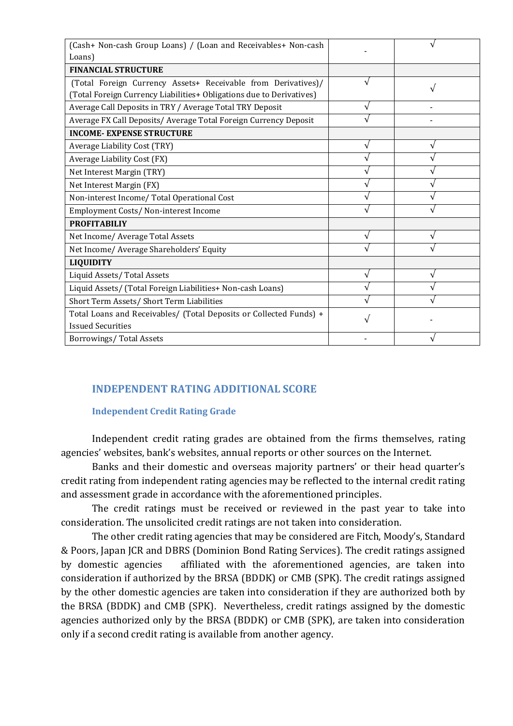| (Cash+ Non-cash Group Loans) / (Loan and Receivables+ Non-cash       |           |
|----------------------------------------------------------------------|-----------|
| Loans)                                                               |           |
| <b>FINANCIAL STRUCTURE</b>                                           |           |
| (Total Foreign Currency Assets+ Receivable from Derivatives)/        | $\sqrt{}$ |
| (Total Foreign Currency Liabilities+ Obligations due to Derivatives) |           |
| Average Call Deposits in TRY / Average Total TRY Deposit             |           |
| Average FX Call Deposits/ Average Total Foreign Currency Deposit     |           |
| <b>INCOME- EXPENSE STRUCTURE</b>                                     |           |
| Average Liability Cost (TRY)                                         |           |
| Average Liability Cost (FX)                                          |           |
| Net Interest Margin (TRY)                                            |           |
| Net Interest Margin (FX)                                             |           |
| Non-interest Income/ Total Operational Cost                          |           |
| Employment Costs/Non-interest Income                                 |           |
| <b>PROFITABILIY</b>                                                  |           |
| Net Income/ Average Total Assets                                     |           |
| Net Income/ Average Shareholders' Equity                             |           |
| <b>LIQUIDITY</b>                                                     |           |
| Liquid Assets/Total Assets                                           |           |
| Liquid Assets/ (Total Foreign Liabilities+ Non-cash Loans)           |           |
| Short Term Assets/ Short Term Liabilities                            |           |
| Total Loans and Receivables/ (Total Deposits or Collected Funds) +   |           |
| <b>Issued Securities</b>                                             |           |
| Borrowings/Total Assets                                              |           |

# **INDEPENDENT RATING ADDITIONAL SCORE**

### **Independent Credit Rating Grade**

Independent credit rating grades are obtained from the firms themselves, rating agencies' websites, bank's websites, annual reports or other sources on the Internet.

Banks and their domestic and overseas majority partners' or their head quarter's credit rating from independent rating agencies may be reflected to the internal credit rating and assessment grade in accordance with the aforementioned principles.

The credit ratings must be received or reviewed in the past year to take into consideration. The unsolicited credit ratings are not taken into consideration.

The other credit rating agencies that may be considered are Fitch, Moody's, Standard & Poors, Japan JCR and DBRS (Dominion Bond Rating Services). The credit ratings assigned by domestic agencies affiliated with the aforementioned agencies, are taken into consideration if authorized by the BRSA (BDDK) or CMB (SPK). The credit ratings assigned by the other domestic agencies are taken into consideration if they are authorized both by the BRSA (BDDK) and CMB (SPK). Nevertheless, credit ratings assigned by the domestic agencies authorized only by the BRSA (BDDK) or CMB (SPK), are taken into consideration only if a second credit rating is available from another agency.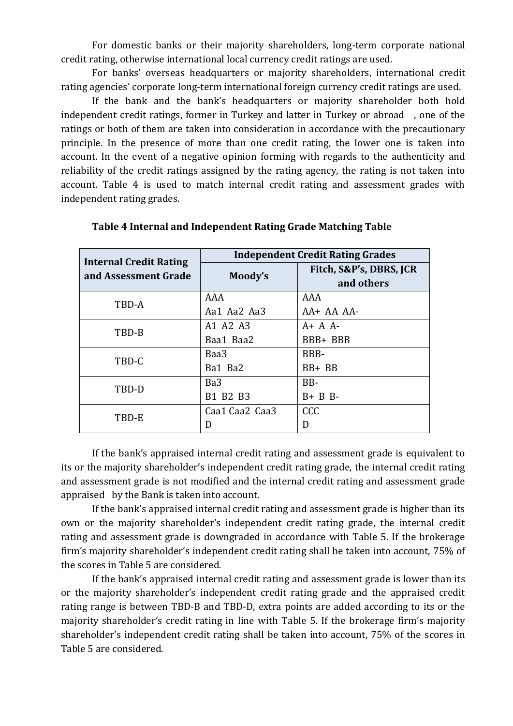For domestic banks or their majority shareholders, long-term corporate national credit rating, otherwise international local currency credit ratings are used.

For banks' overseas headquarters or majority shareholders, international credit rating agencies' corporate long-term international foreign currency credit ratings are used.

If the bank and the bank's headquarters or majority shareholder both hold independent credit ratings, former in Turkey and latter in Turkey or abroad , one of the ratings or both of them are taken into consideration in accordance with the precautionary principle. In the presence of more than one credit rating, the lower one is taken into account. In the event of a negative opinion forming with regards to the authenticity and reliability of the credit ratings assigned by the rating agency, the rating is not taken into account. Table 4 is used to match internal credit rating and assessment grades with independent rating grades.

| <b>Internal Credit Rating</b> | <b>Independent Credit Rating Grades</b> |                                       |  |
|-------------------------------|-----------------------------------------|---------------------------------------|--|
| and Assessment Grade          | Moody's                                 | Fitch, S&P's, DBRS, JCR<br>and others |  |
| TBD-A                         | AAA                                     | AAA                                   |  |
|                               | Aa1 Aa2 Aa3                             | $AA+AAAA-$                            |  |
| TBD-B                         | A1 A2 A3                                | $A + A$                               |  |
|                               | Baa1 Baa2                               | BBB+ BBB                              |  |
| TBD-C                         | Baa3                                    | BBB-                                  |  |
|                               | Ba1 Ba2                                 | BB+ BB                                |  |
| TBD-D                         | Ba <sub>3</sub>                         | BB-                                   |  |
|                               | B1 B2 B3                                | $B + B B$                             |  |
| TBD-E                         | Caa1 Caa2 Caa3                          | <b>CCC</b>                            |  |
|                               |                                         | D                                     |  |

# **Table 4 Internal and Independent Rating Grade Matching Table**

If the bank's appraised internal credit rating and assessment grade is equivalent to its or the majority shareholder's independent credit rating grade, the internal credit rating and assessment grade is not modified and the internal credit rating and assessment grade appraised by the Bank is taken into account.

If the bank's appraised internal credit rating and assessment grade is higher than its own or the majority shareholder's independent credit rating grade, the internal credit rating and assessment grade is downgraded in accordance with Table 5. If the brokerage firm's majority shareholder's independent credit rating shall be taken into account, 75% of the scores in Table 5 are considered.

If the bank's appraised internal credit rating and assessment grade is lower than its or the majority shareholder's independent credit rating grade and the appraised credit rating range is between TBD-B and TBD-D, extra points are added according to its or the majority shareholder's credit rating in line with Table 5. If the brokerage firm's majority shareholder's independent credit rating shall be taken into account, 75% of the scores in Table 5 are considered.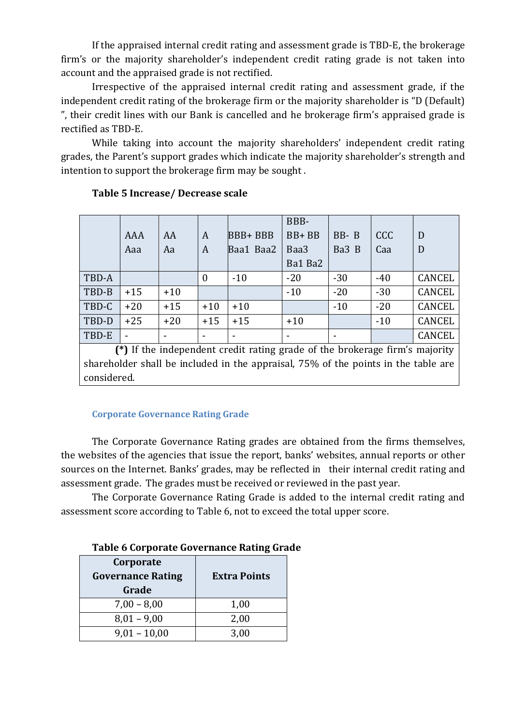If the appraised internal credit rating and assessment grade is TBD-E, the brokerage firm's or the majority shareholder's independent credit rating grade is not taken into account and the appraised grade is not rectified.

Irrespective of the appraised internal credit rating and assessment grade, if the independent credit rating of the brokerage firm or the majority shareholder is "D (Default) ", their credit lines with our Bank is cancelled and he brokerage firm's appraised grade is rectified as TBD-E.

While taking into account the majority shareholders' independent credit rating grades, the Parent's support grades which indicate the majority shareholder's strength and intention to support the brokerage firm may be sought .

|       |       |       |                  |                | BBB-    |          |            |               |
|-------|-------|-------|------------------|----------------|---------|----------|------------|---------------|
|       | AAA   | AA    | A                | <b>BBB+BBB</b> | BB+BB   | $BB - B$ | <b>CCC</b> | D             |
|       | Aaa   | Aa    | A                | Baa1 Baa2      | Baa3    | Ba3 B    | Caa        | D             |
|       |       |       |                  |                | Ba1 Ba2 |          |            |               |
| TBD-A |       |       | $\boldsymbol{0}$ | $-10$          | $-20$   | $-30$    | $-40$      | <b>CANCEL</b> |
| TBD-B | $+15$ | $+10$ |                  |                | $-10$   | $-20$    | $-30$      | <b>CANCEL</b> |
| TBD-C | $+20$ | $+15$ | $+10$            | $+10$          |         | $-10$    | $-20$      | <b>CANCEL</b> |
| TBD-D | $+25$ | $+20$ | $+15$            | $+15$          | $+10$   |          | $-10$      | <b>CANCEL</b> |
| TBD-E |       |       | -                | -              |         |          |            | <b>CANCEL</b> |

# **Table 5 Increase/ Decrease scale**

**(\*)** If the independent credit rating grade of the brokerage firm's majority shareholder shall be included in the appraisal, 75% of the points in the table are considered.

### **Corporate Governance Rating Grade**

The Corporate Governance Rating grades are obtained from the firms themselves, the websites of the agencies that issue the report, banks' websites, annual reports or other sources on the Internet. Banks' grades, may be reflected in their internal credit rating and assessment grade. The grades must be received or reviewed in the past year.

The Corporate Governance Rating Grade is added to the internal credit rating and assessment score according to Table 6, not to exceed the total upper score.

|  |  | Table 6 Corporate Governance Rating Grade |  |
|--|--|-------------------------------------------|--|
|--|--|-------------------------------------------|--|

| Corporate<br><b>Governance Rating</b><br>Grade | <b>Extra Points</b> |
|------------------------------------------------|---------------------|
| $7,00 - 8,00$                                  | 1,00                |
| $8,01 - 9,00$                                  | 2,00                |
| $9,01 - 10,00$                                 | 3,00                |